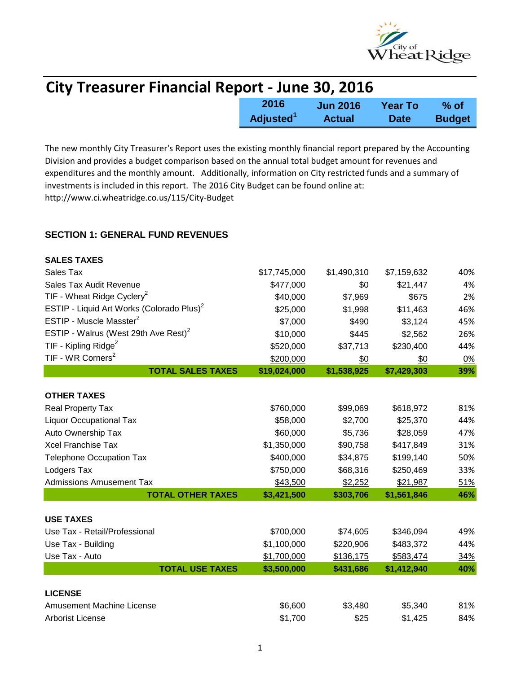

| <b>City Treasurer Financial Report - June 30, 2016</b> |                       |                 |             |               |
|--------------------------------------------------------|-----------------------|-----------------|-------------|---------------|
|                                                        | 2016                  | <b>Jun 2016</b> | Year To     | % of          |
|                                                        | Adjusted <sup>1</sup> | <b>Actual</b>   | <b>Date</b> | <b>Budget</b> |

The new monthly City Treasurer's Report uses the existing monthly financial report prepared by the Accounting Division and provides a budget comparison based on the annual total budget amount for revenues and expenditures and the monthly amount. Additionally, information on City restricted funds and a summary of investments is included in this report. The 2016 City Budget can be found online at: http://www.ci.wheatridge.co.us/115/City-Budget

#### **SECTION 1: GENERAL FUND REVENUES**

| <b>SALES TAXES</b>                                    |              |             |             |            |
|-------------------------------------------------------|--------------|-------------|-------------|------------|
| Sales Tax                                             | \$17,745,000 | \$1,490,310 | \$7,159,632 | 40%        |
| Sales Tax Audit Revenue                               | \$477,000    | \$0         | \$21,447    | 4%         |
| TIF - Wheat Ridge Cyclery <sup>2</sup>                | \$40,000     | \$7,969     | \$675       | 2%         |
| ESTIP - Liquid Art Works (Colorado Plus) <sup>2</sup> | \$25,000     | \$1,998     | \$11,463    | 46%        |
| ESTIP - Muscle Masster <sup>2</sup>                   | \$7,000      | \$490       | \$3,124     | 45%        |
| ESTIP - Walrus (West 29th Ave Rest) <sup>2</sup>      | \$10,000     | \$445       | \$2,562     | 26%        |
| TIF - Kipling Ridge <sup>2</sup>                      | \$520,000    | \$37,713    | \$230,400   | 44%        |
| TIF - WR Corners <sup>2</sup>                         | \$200,000    | \$0         | \$0         | 0%         |
| <b>TOTAL SALES TAXES</b>                              | \$19,024,000 | \$1,538,925 | \$7,429,303 | 39%        |
|                                                       |              |             |             |            |
| <b>OTHER TAXES</b>                                    |              |             |             |            |
| Real Property Tax                                     | \$760,000    | \$99,069    | \$618,972   | 81%        |
| <b>Liquor Occupational Tax</b>                        | \$58,000     | \$2,700     | \$25,370    | 44%        |
| Auto Ownership Tax                                    | \$60,000     | \$5,736     | \$28,059    | 47%        |
| <b>Xcel Franchise Tax</b>                             | \$1,350,000  | \$90,758    | \$417,849   | 31%        |
| <b>Telephone Occupation Tax</b>                       | \$400,000    | \$34,875    | \$199,140   | 50%        |
| Lodgers Tax                                           | \$750,000    | \$68,316    | \$250,469   | 33%        |
| <b>Admissions Amusement Tax</b>                       | \$43,500     | \$2,252     | \$21,987    | 51%        |
| <b>TOTAL OTHER TAXES</b>                              | \$3,421,500  | \$303,706   | \$1,561,846 | 46%        |
|                                                       |              |             |             |            |
| <b>USE TAXES</b>                                      |              |             |             |            |
| Use Tax - Retail/Professional                         | \$700,000    | \$74,605    | \$346,094   | 49%        |
| Use Tax - Building                                    | \$1,100,000  | \$220,906   | \$483,372   | 44%        |
| Use Tax - Auto                                        | \$1,700,000  | \$136,175   | \$583,474   | <u>34%</u> |
| <b>TOTAL USE TAXES</b>                                | \$3,500,000  | \$431,686   | \$1,412,940 | 40%        |
| <b>LICENSE</b>                                        |              |             |             |            |
| <b>Amusement Machine License</b>                      | \$6,600      | \$3,480     | \$5,340     | 81%        |
| <b>Arborist License</b>                               | \$1,700      | \$25        | \$1,425     | 84%        |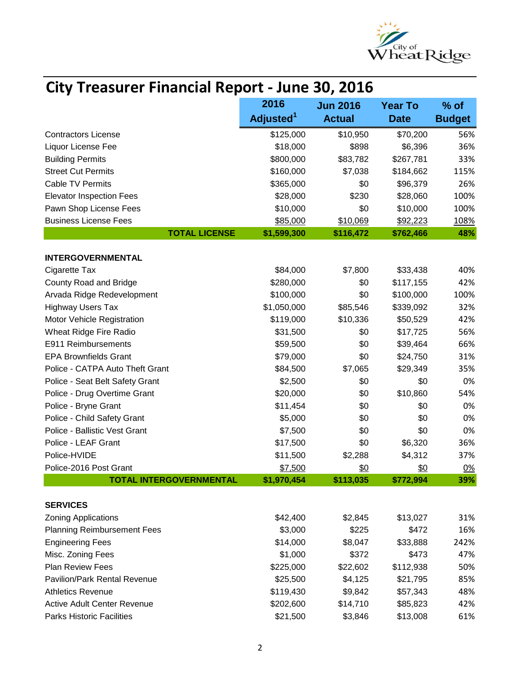

# **City Treasurer Financial Report - June 30, 2016**

|                                     | 2016                  | <b>Jun 2016</b> | <b>Year To</b> | $%$ of        |
|-------------------------------------|-----------------------|-----------------|----------------|---------------|
|                                     | Adjusted <sup>1</sup> | <b>Actual</b>   | <b>Date</b>    | <b>Budget</b> |
| <b>Contractors License</b>          | \$125,000             | \$10,950        | \$70,200       | 56%           |
| Liquor License Fee                  | \$18,000              | \$898           | \$6,396        | 36%           |
| <b>Building Permits</b>             | \$800,000             | \$83,782        | \$267,781      | 33%           |
| <b>Street Cut Permits</b>           | \$160,000             | \$7,038         | \$184,662      | 115%          |
| <b>Cable TV Permits</b>             | \$365,000             | \$0             | \$96,379       | 26%           |
| <b>Elevator Inspection Fees</b>     | \$28,000              | \$230           | \$28,060       | 100%          |
| Pawn Shop License Fees              | \$10,000              | \$0             | \$10,000       | 100%          |
| <b>Business License Fees</b>        | \$85,000              | \$10,069        | \$92,223       | 108%          |
| <b>TOTAL LICENSE</b>                | \$1,599,300           | \$116,472       | \$762,466      | 48%           |
| <b>INTERGOVERNMENTAL</b>            |                       |                 |                |               |
| Cigarette Tax                       | \$84,000              | \$7,800         | \$33,438       | 40%           |
| County Road and Bridge              | \$280,000             | \$0             | \$117,155      | 42%           |
| Arvada Ridge Redevelopment          | \$100,000             | \$0             | \$100,000      | 100%          |
| <b>Highway Users Tax</b>            | \$1,050,000           | \$85,546        | \$339,092      | 32%           |
| Motor Vehicle Registration          | \$119,000             | \$10,336        | \$50,529       | 42%           |
| Wheat Ridge Fire Radio              | \$31,500              | \$0             | \$17,725       | 56%           |
| E911 Reimbursements                 | \$59,500              | \$0             | \$39,464       | 66%           |
| <b>EPA Brownfields Grant</b>        | \$79,000              | \$0             | \$24,750       | 31%           |
| Police - CATPA Auto Theft Grant     | \$84,500              | \$7,065         | \$29,349       | 35%           |
| Police - Seat Belt Safety Grant     | \$2,500               | \$0             | \$0            | 0%            |
| Police - Drug Overtime Grant        | \$20,000              | \$0             | \$10,860       | 54%           |
| Police - Bryne Grant                | \$11,454              | \$0             | \$0            | 0%            |
| Police - Child Safety Grant         | \$5,000               | \$0             | \$0            | 0%            |
| Police - Ballistic Vest Grant       | \$7,500               | \$0             | \$0            | 0%            |
| Police - LEAF Grant                 | \$17,500              | \$0             | \$6,320        | 36%           |
| Police-HVIDE                        | \$11,500              | \$2,288         | \$4,312        | 37%           |
| Police-2016 Post Grant              | \$7,500               | \$0             | \$0            | 0%            |
| <b>TOTAL INTERGOVERNMENTAL</b>      | \$1,970,454           | \$113,035       | \$772,994      | 39%           |
| <b>SERVICES</b>                     |                       |                 |                |               |
| <b>Zoning Applications</b>          | \$42,400              | \$2,845         | \$13,027       | 31%           |
| <b>Planning Reimbursement Fees</b>  | \$3,000               | \$225           | \$472          | 16%           |
| <b>Engineering Fees</b>             | \$14,000              | \$8,047         | \$33,888       | 242%          |
| Misc. Zoning Fees                   | \$1,000               | \$372           | \$473          | 47%           |
| Plan Review Fees                    | \$225,000             | \$22,602        | \$112,938      | 50%           |
| <b>Pavilion/Park Rental Revenue</b> | \$25,500              | \$4,125         | \$21,795       | 85%           |
| <b>Athletics Revenue</b>            | \$119,430             | \$9,842         | \$57,343       | 48%           |
| <b>Active Adult Center Revenue</b>  | \$202,600             | \$14,710        | \$85,823       | 42%           |
| <b>Parks Historic Facilities</b>    | \$21,500              | \$3,846         | \$13,008       | 61%           |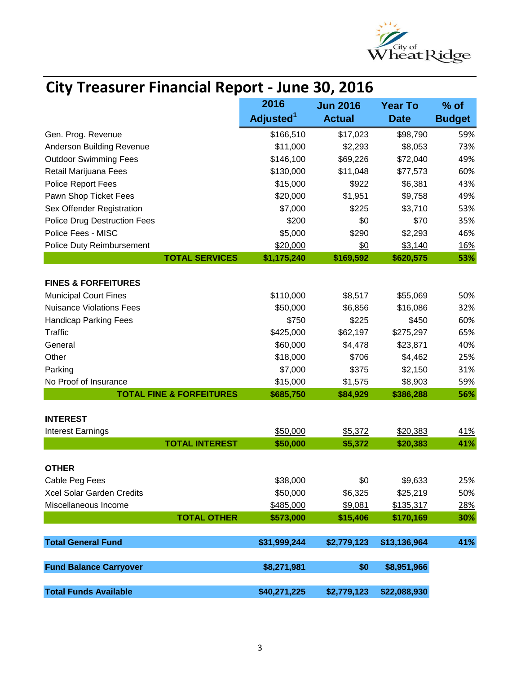

# **City Treasurer Financial Report - June 30, 2016**

|                                     | 2016                  | <b>Jun 2016</b> | <b>Year To</b> | $%$ of        |
|-------------------------------------|-----------------------|-----------------|----------------|---------------|
|                                     | Adjusted <sup>1</sup> | <b>Actual</b>   | <b>Date</b>    | <b>Budget</b> |
| Gen. Prog. Revenue                  | \$166,510             | \$17,023        | \$98,790       | 59%           |
| Anderson Building Revenue           | \$11,000              | \$2,293         | \$8,053        | 73%           |
| <b>Outdoor Swimming Fees</b>        | \$146,100             | \$69,226        | \$72,040       | 49%           |
| Retail Marijuana Fees               | \$130,000             | \$11,048        | \$77,573       | 60%           |
| <b>Police Report Fees</b>           | \$15,000              | \$922           | \$6,381        | 43%           |
| Pawn Shop Ticket Fees               | \$20,000              | \$1,951         | \$9,758        | 49%           |
| Sex Offender Registration           | \$7,000               | \$225           | \$3,710        | 53%           |
| <b>Police Drug Destruction Fees</b> | \$200                 | \$0             | \$70           | 35%           |
| Police Fees - MISC                  | \$5,000               | \$290           | \$2,293        | 46%           |
| Police Duty Reimbursement           | \$20,000              | \$0             | \$3,140        | 16%           |
| <b>TOTAL SERVICES</b>               | \$1,175,240           | \$169,592       | \$620,575      | 53%           |
|                                     |                       |                 |                |               |
| <b>FINES &amp; FORFEITURES</b>      |                       |                 |                |               |
| <b>Municipal Court Fines</b>        | \$110,000             | \$8,517         | \$55,069       | 50%           |
| <b>Nuisance Violations Fees</b>     | \$50,000              | \$6,856         | \$16,086       | 32%           |
| <b>Handicap Parking Fees</b>        | \$750                 | \$225           | \$450          | 60%           |
| <b>Traffic</b>                      | \$425,000             | \$62,197        | \$275,297      | 65%           |
| General                             | \$60,000              | \$4,478         | \$23,871       | 40%           |
| Other                               | \$18,000              | \$706           | \$4,462        | 25%           |
| Parking                             | \$7,000               | \$375           | \$2,150        | 31%           |
| No Proof of Insurance               | \$15,000              | \$1,575         | \$8,903        | <u>59%</u>    |
| <b>TOTAL FINE &amp; FORFEITURES</b> | \$685,750             | \$84,929        | \$386,288      | 56%           |
| <b>INTEREST</b>                     |                       |                 |                |               |
| <b>Interest Earnings</b>            | \$50,000              | \$5,372         | \$20,383       | 41%           |
| <b>TOTAL INTEREST</b>               | \$50,000              | \$5,372         | \$20,383       | 41%           |
|                                     |                       |                 |                |               |
| <b>OTHER</b>                        |                       |                 |                |               |
| Cable Peg Fees                      | \$38,000              | \$0             | \$9,633        | 25%           |
| Xcel Solar Garden Credits           | \$50,000              | \$6,325         | \$25,219       | 50%           |
| Miscellaneous Income                | \$485,000             | \$9,081         | \$135,317      | 28%           |
| <b>TOTAL OTHER</b>                  | \$573,000             | \$15,406        | \$170,169      | 30%           |
| <b>Total General Fund</b>           | \$31,999,244          | \$2,779,123     | \$13,136,964   | 41%           |
|                                     |                       |                 |                |               |
| <b>Fund Balance Carryover</b>       | \$8,271,981           | \$0             | \$8,951,966    |               |
| <b>Total Funds Available</b>        | \$40,271,225          | \$2,779,123     | \$22,088,930   |               |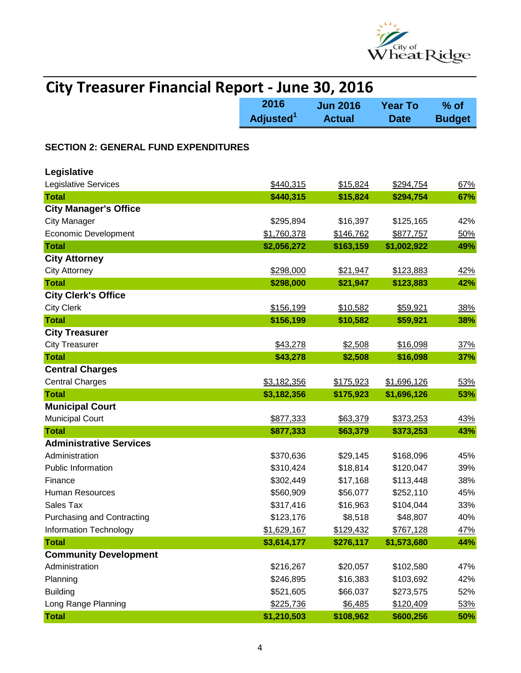

| <b>City Treasurer Financial Report - June 30, 2016</b> |                       |                 |                |               |  |
|--------------------------------------------------------|-----------------------|-----------------|----------------|---------------|--|
|                                                        | 2016                  | <b>Jun 2016</b> | <b>Year To</b> | $%$ of        |  |
|                                                        | Adjusted <sup>1</sup> | <b>Actual</b>   | <b>Date</b>    | <b>Budget</b> |  |
| <b>SECTION 2: GENERAL FUND EXPENDITURES</b>            |                       |                 |                |               |  |
|                                                        |                       |                 |                |               |  |
| Legislative                                            |                       |                 |                |               |  |
| Legislative Services                                   | \$440,315             | \$15,824        | \$294,754      | 67%           |  |
| <b>Total</b>                                           | \$440,315             | \$15,824        | \$294,754      | 67%           |  |
| <b>City Manager's Office</b>                           |                       |                 |                |               |  |
| <b>City Manager</b>                                    | \$295,894             | \$16,397        | \$125,165      | 42%           |  |
| <b>Economic Development</b>                            | \$1,760,378           | \$146,762       | \$877,757      | 50%           |  |
| <b>Total</b>                                           | \$2,056,272           | \$163,159       | \$1,002,922    | 49%           |  |
| <b>City Attorney</b>                                   |                       |                 |                |               |  |
| <b>City Attorney</b>                                   | \$298,000             | \$21,947        | \$123,883      | <u>42%</u>    |  |
| <b>Total</b>                                           | \$298,000             | \$21,947        | \$123,883      | 42%           |  |
| <b>City Clerk's Office</b>                             |                       |                 |                |               |  |
| <b>City Clerk</b>                                      | \$156,199             | \$10,582        | \$59,921       | 38%           |  |
| <b>Total</b>                                           | \$156,199             | \$10,582        | \$59,921       | 38%           |  |
| <b>City Treasurer</b>                                  |                       |                 |                |               |  |
| <b>City Treasurer</b>                                  | \$43,278              | \$2,508         | \$16,098       | 37%           |  |
| <b>Total</b>                                           | \$43,278              | \$2,508         | \$16,098       | 37%           |  |
| <b>Central Charges</b>                                 |                       |                 |                |               |  |
| <b>Central Charges</b>                                 | \$3,182,356           | \$175,923       | \$1,696,126    | 53%           |  |
| <b>Total</b>                                           | \$3,182,356           | \$175,923       | \$1,696,126    | 53%           |  |
| <b>Municipal Court</b>                                 |                       |                 |                |               |  |
| <b>Municipal Court</b>                                 | \$877,333             | \$63,379        | \$373,253      | 43%           |  |
| <b>Total</b>                                           | \$877,333             | \$63,379        | \$373,253      | 43%           |  |
| <b>Administrative Services</b>                         |                       |                 |                |               |  |
| Administration                                         | \$370,636             | \$29,145        | \$168,096      | 45%           |  |
| Public Information                                     | \$310,424             | \$18,814        | \$120,047      | 39%           |  |
| Finance                                                | \$302,449             | \$17,168        | \$113,448      | 38%           |  |
| Human Resources                                        | \$560,909             | \$56,077        | \$252,110      | 45%           |  |
| Sales Tax                                              | \$317,416             | \$16,963        | \$104,044      | 33%           |  |
| <b>Purchasing and Contracting</b>                      | \$123,176             | \$8,518         | \$48,807       | 40%           |  |
| <b>Information Technology</b>                          | \$1,629,167           | \$129,432       | \$767,128      | <u>47%</u>    |  |
| <b>Total</b>                                           | \$3,614,177           | \$276,117       | \$1,573,680    | 44%           |  |
| <b>Community Development</b>                           |                       |                 |                |               |  |
| Administration                                         | \$216,267             | \$20,057        | \$102,580      | 47%           |  |
| Planning                                               | \$246,895             | \$16,383        | \$103,692      | 42%           |  |
| <b>Building</b>                                        | \$521,605             | \$66,037        | \$273,575      | 52%           |  |
| Long Range Planning                                    | \$225,736             | \$6,485         | \$120,409      | 53%           |  |
| <b>Total</b>                                           | \$1,210,503           | \$108,962       | \$600,256      | 50%           |  |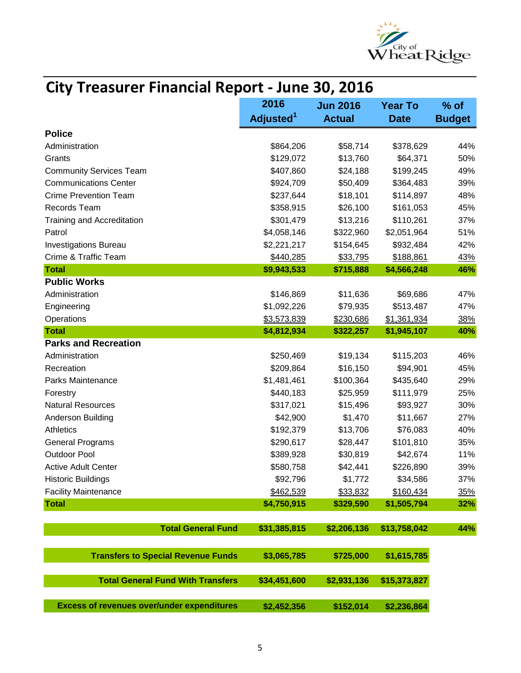

| <b>City Treasurer Financial Report - June 30, 2016</b> |                       |                 |                |               |  |
|--------------------------------------------------------|-----------------------|-----------------|----------------|---------------|--|
|                                                        | 2016                  | <b>Jun 2016</b> | <b>Year To</b> | $%$ of        |  |
|                                                        | Adjusted <sup>1</sup> | <b>Actual</b>   | <b>Date</b>    | <b>Budget</b> |  |
| <b>Police</b>                                          |                       |                 |                |               |  |
| Administration                                         | \$864,206             | \$58,714        | \$378,629      | 44%           |  |
| Grants                                                 | \$129,072             | \$13,760        | \$64,371       | 50%           |  |
| <b>Community Services Team</b>                         | \$407,860             | \$24,188        | \$199,245      | 49%           |  |
| <b>Communications Center</b>                           | \$924,709             | \$50,409        | \$364,483      | 39%           |  |
| <b>Crime Prevention Team</b>                           | \$237,644             | \$18,101        | \$114,897      | 48%           |  |
| Records Team                                           | \$358,915             | \$26,100        | \$161,053      | 45%           |  |
| Training and Accreditation                             | \$301,479             | \$13,216        | \$110,261      | 37%           |  |
| Patrol                                                 | \$4,058,146           | \$322,960       | \$2,051,964    | 51%           |  |
| <b>Investigations Bureau</b>                           | \$2,221,217           | \$154,645       | \$932,484      | 42%           |  |
| Crime & Traffic Team                                   | \$440,285             | \$33,795        | \$188,861      | <u>43%</u>    |  |
| <b>Total</b>                                           | \$9,943,533           | \$715,888       | \$4,566,248    | 46%           |  |
| <b>Public Works</b>                                    |                       |                 |                |               |  |
| Administration                                         | \$146,869             | \$11,636        | \$69,686       | 47%           |  |
| Engineering                                            | \$1,092,226           | \$79,935        | \$513,487      | 47%           |  |
| Operations                                             | \$3,573,839           | \$230,686       | \$1,361,934    | 38%           |  |
| <b>Total</b>                                           | \$4,812,934           | \$322,257       | \$1,945,107    | 40%           |  |
| <b>Parks and Recreation</b>                            |                       |                 |                |               |  |
| Administration                                         | \$250,469             | \$19,134        | \$115,203      | 46%           |  |
| Recreation                                             | \$209,864             | \$16,150        | \$94,901       | 45%           |  |
| Parks Maintenance                                      | \$1,481,461           | \$100,364       | \$435,640      | 29%           |  |
| Forestry                                               | \$440,183             | \$25,959        | \$111,979      | 25%           |  |
| <b>Natural Resources</b>                               | \$317,021             | \$15,496        | \$93,927       | 30%           |  |
| Anderson Building                                      | \$42,900              | \$1,470         | \$11,667       | 27%           |  |
| Athletics                                              | \$192,379             | \$13,706        | \$76,083       | 40%           |  |
| <b>General Programs</b>                                | \$290,617             | \$28,447        | \$101,810      | 35%           |  |
| <b>Outdoor Pool</b>                                    | \$389,928             | \$30,819        | \$42,674       | 11%           |  |
| <b>Active Adult Center</b>                             | \$580,758             | \$42,441        | \$226,890      | 39%           |  |
| <b>Historic Buildings</b>                              | \$92,796              | \$1,772         | \$34,586       | 37%           |  |
| <b>Facility Maintenance</b>                            | \$462,539             | \$33,832        | \$160,434      | 35%           |  |
| <b>Total</b>                                           | \$4,750,915           | \$329,590       | \$1,505,794    | 32%           |  |
|                                                        |                       |                 |                |               |  |
| <b>Total General Fund</b>                              | \$31,385,815          | \$2,206,136     | \$13,758,042   | 44%           |  |
| <b>Transfers to Special Revenue Funds</b>              | \$3,065,785           | \$725,000       | \$1,615,785    |               |  |
| <b>Total General Fund With Transfers</b>               | \$34,451,600          | \$2,931,136     | \$15,373,827   |               |  |
| <b>Excess of revenues over/under expenditures</b>      | \$2,452,356           | \$152,014       | \$2,236,864    |               |  |

### **City Treasurer Financial Report - June 30, 2016**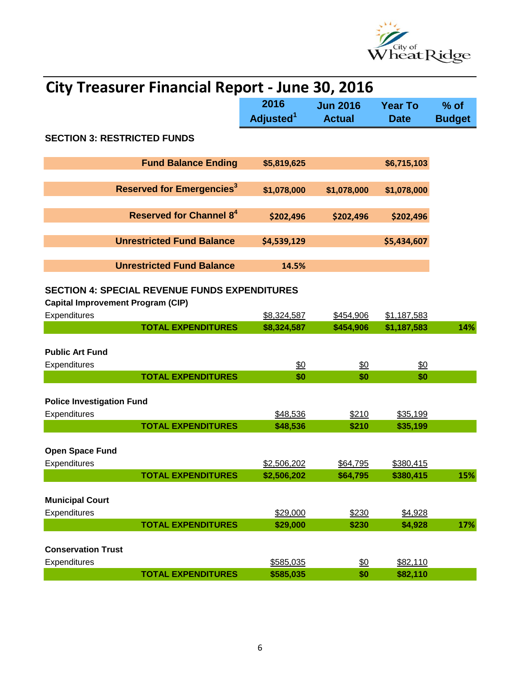

| 2016<br><b>Jun 2016</b><br><b>Year To</b><br>$%$ of<br>Adjusted <sup>1</sup><br><b>Actual</b><br><b>Budget</b><br><b>Date</b><br><b>SECTION 3: RESTRICTED FUNDS</b><br><b>Fund Balance Ending</b><br>\$6,715,103<br>\$5,819,625<br><b>Reserved for Emergencies<sup>3</sup></b><br>\$1,078,000<br>\$1,078,000<br>\$1,078,000<br><b>Reserved for Channel 8<sup>4</sup></b><br>\$202,496<br>\$202,496<br>\$202,496<br><b>Unrestricted Fund Balance</b><br>\$5,434,607<br>\$4,539,129<br><b>Unrestricted Fund Balance</b><br>14.5%<br><b>SECTION 4: SPECIAL REVENUE FUNDS EXPENDITURES</b><br><b>Capital Improvement Program (CIP)</b><br>Expenditures<br>\$1,187,583<br>\$8,324,587<br>\$454,906<br><b>TOTAL EXPENDITURES</b><br>\$8,324,587<br>\$1,187,583<br>14%<br>\$454,906<br><b>Public Art Fund</b><br>$\frac{60}{50}$<br>\$0<br>\$0<br>Expenditures<br><b>TOTAL EXPENDITURES</b><br>\$0<br>\$0<br>\$0<br><b>Police Investigation Fund</b><br>Expenditures<br>\$210<br>\$48,536<br>\$35,199<br><b>TOTAL EXPENDITURES</b><br>\$48,536<br>\$210<br>\$35,199<br><b>Open Space Fund</b><br>Expenditures<br>\$2,506,202<br>\$64,795<br>\$380,415<br><b>TOTAL EXPENDITURES</b><br>\$2,506,202<br>\$64,795<br>\$380,415<br><b>Municipal Court</b><br>Expenditures<br>\$29,000<br>\$230<br>\$4,928 | <b>City Treasurer Financial Report - June 30, 2016</b> |  |  |       |         |     |  |
|-----------------------------------------------------------------------------------------------------------------------------------------------------------------------------------------------------------------------------------------------------------------------------------------------------------------------------------------------------------------------------------------------------------------------------------------------------------------------------------------------------------------------------------------------------------------------------------------------------------------------------------------------------------------------------------------------------------------------------------------------------------------------------------------------------------------------------------------------------------------------------------------------------------------------------------------------------------------------------------------------------------------------------------------------------------------------------------------------------------------------------------------------------------------------------------------------------------------------------------------------------------------------------------------------|--------------------------------------------------------|--|--|-------|---------|-----|--|
| 15%                                                                                                                                                                                                                                                                                                                                                                                                                                                                                                                                                                                                                                                                                                                                                                                                                                                                                                                                                                                                                                                                                                                                                                                                                                                                                           |                                                        |  |  |       |         |     |  |
|                                                                                                                                                                                                                                                                                                                                                                                                                                                                                                                                                                                                                                                                                                                                                                                                                                                                                                                                                                                                                                                                                                                                                                                                                                                                                               |                                                        |  |  |       |         |     |  |
|                                                                                                                                                                                                                                                                                                                                                                                                                                                                                                                                                                                                                                                                                                                                                                                                                                                                                                                                                                                                                                                                                                                                                                                                                                                                                               |                                                        |  |  |       |         |     |  |
|                                                                                                                                                                                                                                                                                                                                                                                                                                                                                                                                                                                                                                                                                                                                                                                                                                                                                                                                                                                                                                                                                                                                                                                                                                                                                               |                                                        |  |  |       |         |     |  |
|                                                                                                                                                                                                                                                                                                                                                                                                                                                                                                                                                                                                                                                                                                                                                                                                                                                                                                                                                                                                                                                                                                                                                                                                                                                                                               |                                                        |  |  |       |         |     |  |
|                                                                                                                                                                                                                                                                                                                                                                                                                                                                                                                                                                                                                                                                                                                                                                                                                                                                                                                                                                                                                                                                                                                                                                                                                                                                                               |                                                        |  |  |       |         |     |  |
|                                                                                                                                                                                                                                                                                                                                                                                                                                                                                                                                                                                                                                                                                                                                                                                                                                                                                                                                                                                                                                                                                                                                                                                                                                                                                               |                                                        |  |  |       |         |     |  |
|                                                                                                                                                                                                                                                                                                                                                                                                                                                                                                                                                                                                                                                                                                                                                                                                                                                                                                                                                                                                                                                                                                                                                                                                                                                                                               |                                                        |  |  |       |         |     |  |
|                                                                                                                                                                                                                                                                                                                                                                                                                                                                                                                                                                                                                                                                                                                                                                                                                                                                                                                                                                                                                                                                                                                                                                                                                                                                                               |                                                        |  |  |       |         |     |  |
|                                                                                                                                                                                                                                                                                                                                                                                                                                                                                                                                                                                                                                                                                                                                                                                                                                                                                                                                                                                                                                                                                                                                                                                                                                                                                               |                                                        |  |  |       |         |     |  |
|                                                                                                                                                                                                                                                                                                                                                                                                                                                                                                                                                                                                                                                                                                                                                                                                                                                                                                                                                                                                                                                                                                                                                                                                                                                                                               |                                                        |  |  |       |         |     |  |
|                                                                                                                                                                                                                                                                                                                                                                                                                                                                                                                                                                                                                                                                                                                                                                                                                                                                                                                                                                                                                                                                                                                                                                                                                                                                                               |                                                        |  |  |       |         |     |  |
|                                                                                                                                                                                                                                                                                                                                                                                                                                                                                                                                                                                                                                                                                                                                                                                                                                                                                                                                                                                                                                                                                                                                                                                                                                                                                               |                                                        |  |  |       |         |     |  |
|                                                                                                                                                                                                                                                                                                                                                                                                                                                                                                                                                                                                                                                                                                                                                                                                                                                                                                                                                                                                                                                                                                                                                                                                                                                                                               |                                                        |  |  |       |         |     |  |
|                                                                                                                                                                                                                                                                                                                                                                                                                                                                                                                                                                                                                                                                                                                                                                                                                                                                                                                                                                                                                                                                                                                                                                                                                                                                                               |                                                        |  |  |       |         |     |  |
|                                                                                                                                                                                                                                                                                                                                                                                                                                                                                                                                                                                                                                                                                                                                                                                                                                                                                                                                                                                                                                                                                                                                                                                                                                                                                               |                                                        |  |  |       |         |     |  |
|                                                                                                                                                                                                                                                                                                                                                                                                                                                                                                                                                                                                                                                                                                                                                                                                                                                                                                                                                                                                                                                                                                                                                                                                                                                                                               |                                                        |  |  |       |         |     |  |
|                                                                                                                                                                                                                                                                                                                                                                                                                                                                                                                                                                                                                                                                                                                                                                                                                                                                                                                                                                                                                                                                                                                                                                                                                                                                                               |                                                        |  |  |       |         |     |  |
| <b>TOTAL EXPENDITURES</b><br>\$29,000                                                                                                                                                                                                                                                                                                                                                                                                                                                                                                                                                                                                                                                                                                                                                                                                                                                                                                                                                                                                                                                                                                                                                                                                                                                         |                                                        |  |  | \$230 | \$4,928 | 17% |  |
| <b>Conservation Trust</b>                                                                                                                                                                                                                                                                                                                                                                                                                                                                                                                                                                                                                                                                                                                                                                                                                                                                                                                                                                                                                                                                                                                                                                                                                                                                     |                                                        |  |  |       |         |     |  |
| Expenditures<br>\$585,035<br>$\frac{60}{50}$<br>\$82,110<br>\$585,035<br>\$0<br>\$82,110<br><b>TOTAL EXPENDITURES</b>                                                                                                                                                                                                                                                                                                                                                                                                                                                                                                                                                                                                                                                                                                                                                                                                                                                                                                                                                                                                                                                                                                                                                                         |                                                        |  |  |       |         |     |  |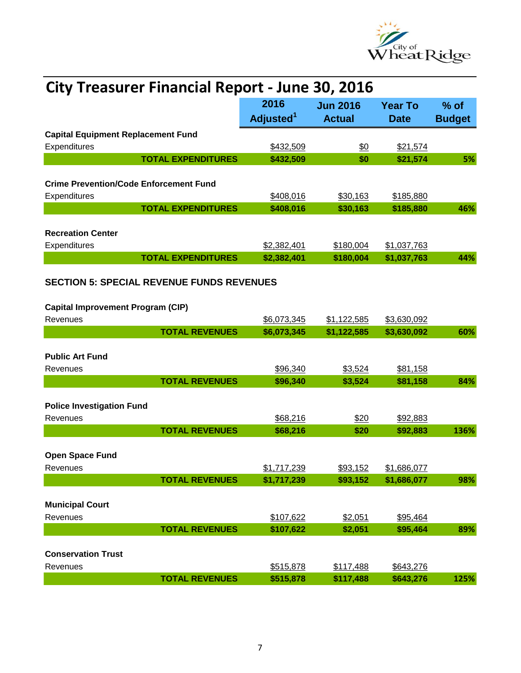

| <b>City Treasurer Financial Report - June 30, 2016</b>    |                           |                               |                                  |                               |                         |
|-----------------------------------------------------------|---------------------------|-------------------------------|----------------------------------|-------------------------------|-------------------------|
|                                                           |                           | 2016<br>Adjusted <sup>1</sup> | <b>Jun 2016</b><br><b>Actual</b> | <b>Year To</b><br><b>Date</b> | $%$ of<br><b>Budget</b> |
| <b>Capital Equipment Replacement Fund</b><br>Expenditures |                           | \$432,509                     | $\frac{60}{20}$                  | \$21,574                      |                         |
|                                                           | <b>TOTAL EXPENDITURES</b> | \$432,509                     | \$0                              | \$21,574                      | 5%                      |
| <b>Crime Prevention/Code Enforcement Fund</b>             |                           |                               |                                  |                               |                         |
| Expenditures                                              | <b>TOTAL EXPENDITURES</b> | \$408,016<br>\$408,016        | \$30,163<br>\$30,163             | \$185,880<br>\$185,880        | 46%                     |
| <b>Recreation Center</b><br>Expenditures                  |                           | \$2,382,401                   | \$180,004                        | \$1,037,763                   |                         |
|                                                           | <b>TOTAL EXPENDITURES</b> | \$2,382,401                   | \$180,004                        | \$1,037,763                   | 44%                     |
| <b>SECTION 5: SPECIAL REVENUE FUNDS REVENUES</b>          |                           |                               |                                  |                               |                         |
| <b>Capital Improvement Program (CIP)</b><br>Revenues      |                           | \$6,073,345                   | \$1,122,585                      | \$3,630,092                   |                         |
|                                                           | <b>TOTAL REVENUES</b>     | \$6,073,345                   | \$1,122,585                      | \$3,630,092                   | 60%                     |
| <b>Public Art Fund</b><br>Revenues                        |                           | \$96,340                      | \$3,524                          | \$81,158                      |                         |
|                                                           | <b>TOTAL REVENUES</b>     | \$96,340                      | \$3,524                          | \$81,158                      | 84%                     |
| <b>Police Investigation Fund</b><br>Revenues              |                           | \$68,216                      | \$20                             | \$92,883                      |                         |
|                                                           | <b>TOTAL REVENUES</b>     | \$68,216                      | \$20                             | \$92,883                      | 136%                    |
| <b>Open Space Fund</b><br>Revenues                        |                           | \$1,717,239                   | \$93,152                         | \$1,686,077                   |                         |
|                                                           | <b>TOTAL REVENUES</b>     | \$1,717,239                   | \$93,152                         | \$1,686,077                   | 98%                     |
| <b>Municipal Court</b>                                    |                           |                               |                                  |                               |                         |
| Revenues                                                  |                           | \$107,622                     | \$2,051                          | \$95,464                      |                         |
|                                                           | <b>TOTAL REVENUES</b>     | \$107,622                     | \$2,051                          | \$95,464                      | 89%                     |
| <b>Conservation Trust</b><br>Revenues                     |                           | \$515,878                     | \$117,488                        | \$643,276                     |                         |
|                                                           | <b>TOTAL REVENUES</b>     | \$515,878                     | \$117,488                        | \$643,276                     | 125%                    |